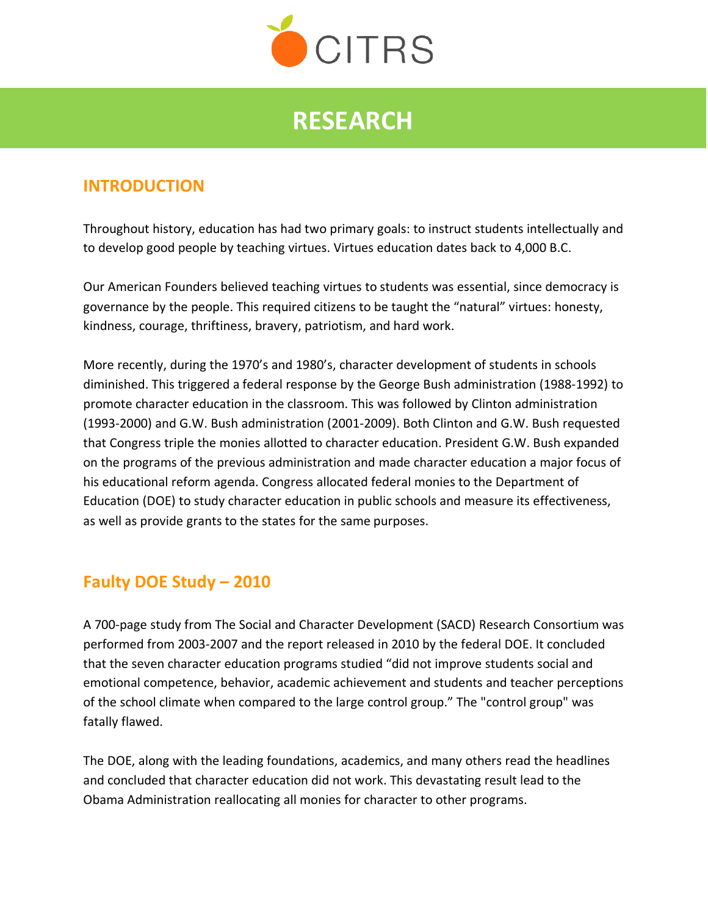

# **RESEARCH**

## **INTRODUCTION**

Throughout history, education has had two primary goals: to instruct students intellectually and to develop good people by teaching virtues. Virtues education dates back to 4,000 B.C.

Our American Founders believed teaching virtues to students was essential, since democracy is governance by the people. This required citizens to be taught the "natural" virtues: honesty, kindness, courage, thriftiness, bravery, patriotism, and hard work.

More recently, during the 1970's and 1980's, character development of students in schools diminished. This triggered a federal response by the George Bush administration (1988-1992) to promote character education in the classroom. This was followed by Clinton administration (1993-2000) and G.W. Bush administration (2001-2009). Both Clinton and G.W. Bush requested that Congress triple the monies allotted to character education. President G.W. Bush expanded on the programs of the previous administration and made character education a major focus of his educational reform agenda. Congress allocated federal monies to the Department of Education (DOE) to study character education in public schools and measure its effectiveness, as well as provide grants to the states for the same purposes.

## **Faulty DOE Study – 2010**

A 700-page study from The Social and Character Development (SACD) Research Consortium was performed from 2003-2007 and the report released in 2010 by the federal DOE. It concluded that the seven character education programs studied "did not improve students social and emotional competence, behavior, academic achievement and students and teacher perceptions of the school climate when compared to the large control group." The "control group" was fatally flawed.

The DOE, along with the leading foundations, academics, and many others read the headlines and concluded that character education did not work. This devastating result lead to the Obama Administration reallocating all monies for character to other programs.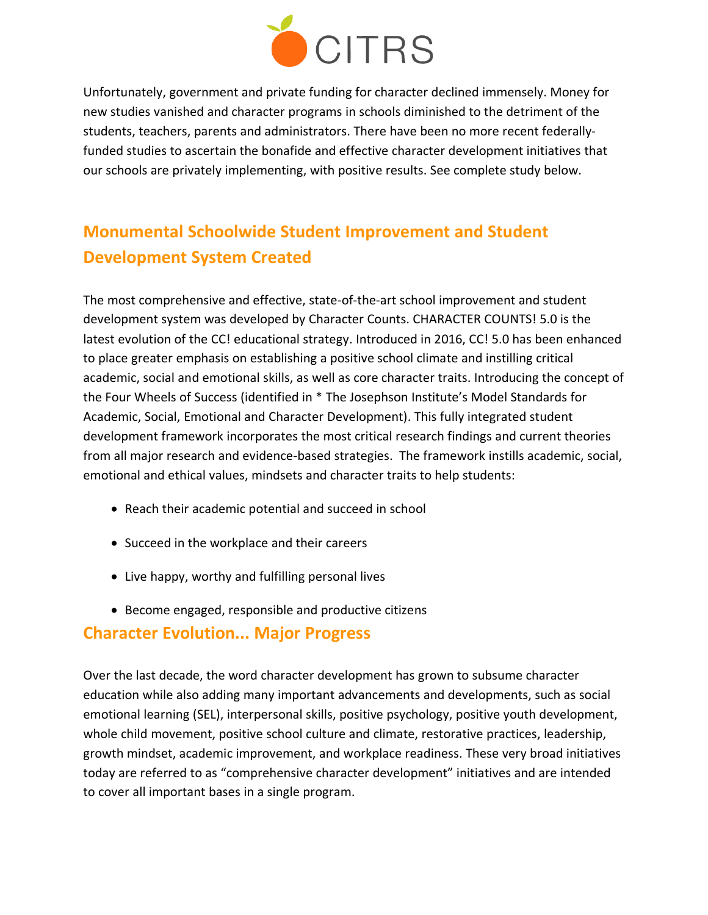

Unfortunately, government and private funding for character declined immensely. Money for new studies vanished and character programs in schools diminished to the detriment of the students, teachers, parents and administrators. There have been no more recent federallyfunded studies to ascertain the bonafide and effective character development initiatives that our schools are privately implementing, with positive results. See complete study below.

## **Monumental Schoolwide Student Improvement and Student Development System Created**

The most comprehensive and effective, state-of-the-art school improvement and student development system was developed by Character Counts. CHARACTER COUNTS! 5.0 is the latest evolution of the CC! educational strategy. Introduced in 2016, CC! 5.0 has been enhanced to place greater emphasis on establishing a positive school climate and instilling critical academic, social and emotional skills, as well as core character traits. Introducing the concept of the Four Wheels of Success (identified in \* The Josephson Institute's Model Standards for Academic, Social, Emotional and Character Development). This fully integrated student development framework incorporates the most critical research findings and current theories from all major research and evidence-based strategies. The framework instills academic, social, emotional and ethical values, mindsets and character traits to help students:

- Reach their academic potential and succeed in school
- Succeed in the workplace and their careers
- Live happy, worthy and fulfilling personal lives
- Become engaged, responsible and productive citizens

### **Character Evolution... Major Progress**

Over the last decade, the word character development has grown to subsume character education while also adding many important advancements and developments, such as social emotional learning (SEL), interpersonal skills, positive psychology, positive youth development, whole child movement, positive school culture and climate, restorative practices, leadership, growth mindset, academic improvement, and workplace readiness. These very broad initiatives today are referred to as "comprehensive character development" initiatives and are intended to cover all important bases in a single program.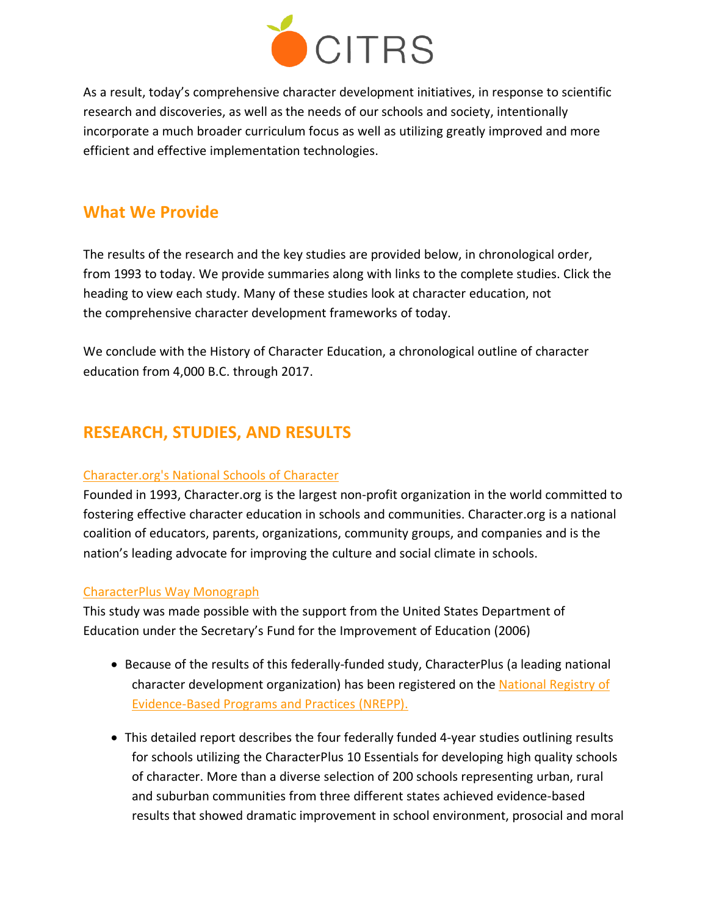

As a result, today's comprehensive character development initiatives, in response to scientific research and discoveries, as well as the needs of our schools and society, intentionally incorporate a much broader curriculum focus as well as utilizing greatly improved and more efficient and effective implementation technologies.

## **What We Provide**

The results of the research and the key studies are provided below, in chronological order, from 1993 to today. We provide summaries along with links to the complete studies. Click the heading to view each study. Many of these studies look at character education, not the comprehensive character development frameworks of today.

We conclude with the History of Character Education, a chronological outline of character education from 4,000 B.C. through 2017.

## **RESEARCH, STUDIES, AND RESULTS**

#### [Character.org's](https://citrsinc.wixsite.com/citrs/national-schools-of-character) National Schools of Character

Founded in 1993, Character.org is the largest non-profit organization in the world committed to fostering effective character education in schools and communities. Character.org is a national coalition of educators, parents, organizations, community groups, and companies and is the nation's leading advocate for improving the culture and social climate in schools.

#### [CharacterPlus](https://www.edplus.org/cms/lib/MO01928355/Centricity/Domain/174/Cplus_Results_MonographRev11_3.pdf) Way Monograph

This study was made possible with the support from the United States Department of Education under the Secretary's Fund for the Improvement of Education (2006)

- Because of the results of this federally-funded study, CharacterPlus (a leading national character development organization) has been registered on the [National Registry of](https://safesupportivelearning.ed.gov/resources/national-registry-evidence-based-programs-and-practices-nrepp-0)  [Evidence-Based Programs and Practices](https://safesupportivelearning.ed.gov/resources/national-registry-evidence-based-programs-and-practices-nrepp-0) (NREPP).
- This detailed report describes the four federally funded 4-year studies outlining results for schools utilizing the CharacterPlus 10 Essentials for developing high quality schools of character. More than a diverse selection of 200 schools representing urban, rural and suburban communities from three different states achieved evidence-based results that showed dramatic improvement in school environment, prosocial and moral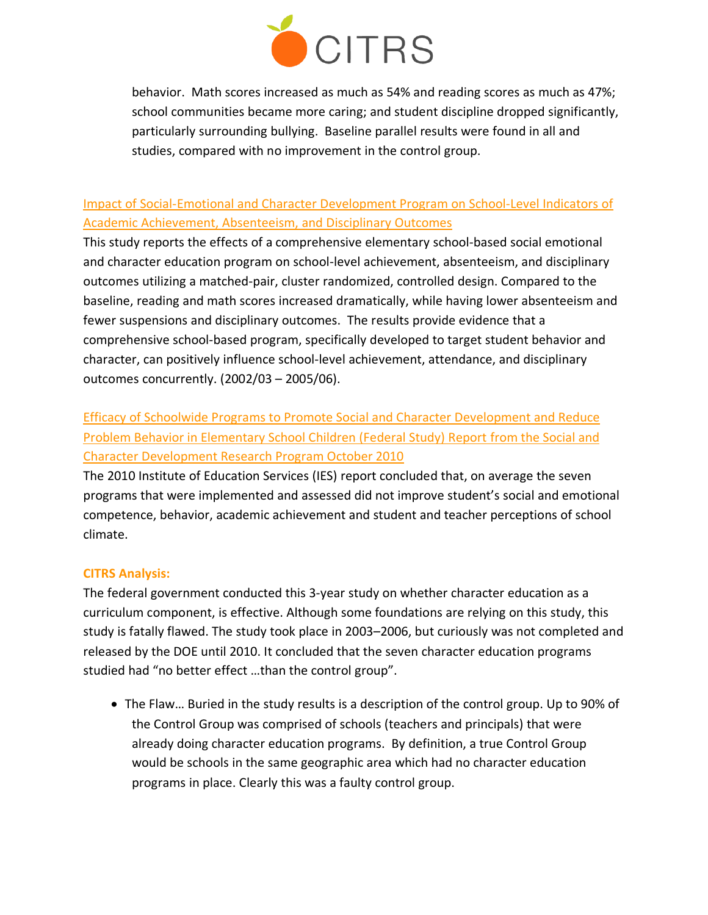

behavior. Math scores increased as much as 54% and reading scores as much as 47%; school communities became more caring; and student discipline dropped significantly, particularly surrounding bullying. Baseline parallel results were found in all and studies, compared with no improvement in the control group.

#### Impact of [Social-Emotional](https://www.isbe.net/Documents/sel-impact-sch-indicators.pdf) and Character Development Program on School-Level Indicators of Academic [Achievement,](https://www.isbe.net/Documents/sel-impact-sch-indicators.pdf) Absenteeism, and Disciplinary Outcomes

This study reports the effects of a comprehensive elementary school-based social emotional and character education program on school-level achievement, absenteeism, and disciplinary outcomes utilizing a matched-pair, cluster randomized, controlled design. Compared to the baseline, reading and math scores increased dramatically, while having lower absenteeism and fewer suspensions and disciplinary outcomes. The results provide evidence that a comprehensive school-based program, specifically developed to target student behavior and character, can positively influence school-level achievement, attendance, and disciplinary outcomes concurrently. (2002/03 – 2005/06).

## [Efficacy of Schoolwide Programs to Promote Social and Character Development and Reduce](https://ies.ed.gov/ncer/pubs/20112001/pdf/20112001.pdf)  [Problem Behavior in Elementary School Children \(Federal Study\) Report](https://ies.ed.gov/ncer/pubs/20112001/pdf/20112001.pdf) from the Social and [Character Development Research Program October 2010](https://ies.ed.gov/ncer/pubs/20112001/pdf/20112001.pdf)

The 2010 Institute of Education Services (IES) report concluded that, on average the seven programs that were implemented and assessed did not improve student's social and emotional competence, behavior, academic achievement and student and teacher perceptions of school climate.

#### **CITRS Analysis:**

The federal government conducted this 3-year study on whether character education as a curriculum component, is effective. Although some foundations are relying on this study, this study is fatally flawed. The study took place in 2003–2006, but curiously was not completed and released by the DOE until 2010. It concluded that the seven character education programs studied had "no better effect …than the control group".

• The Flaw… Buried in the study results is a description of the control group. Up to 90% of the Control Group was comprised of schools (teachers and principals) that were already doing character education programs. By definition, a true Control Group would be schools in the same geographic area which had no character education programs in place. Clearly this was a faulty control group.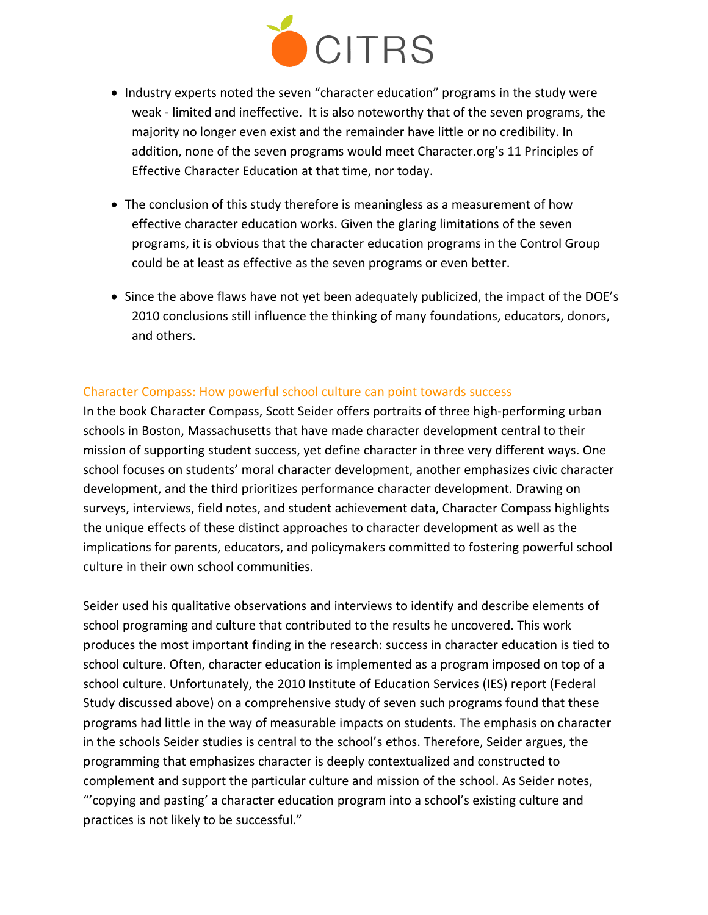

- Industry experts noted the seven "character education" programs in the study were weak - limited and ineffective. It is also noteworthy that of the seven programs, the majority no longer even exist and the remainder have little or no credibility. In addition, none of the seven programs would meet Character.org's 11 Principles of Effective Character Education at that time, nor today.
- The conclusion of this study therefore is meaningless as a measurement of how effective character education works. Given the glaring limitations of the seven programs, it is obvious that the character education programs in the Control Group could be at least as effective as the seven programs or even better.
- Since the above flaws have not yet been adequately publicized, the impact of the DOE's 2010 conclusions still influence the thinking of many foundations, educators, donors, and others.

#### [Character](https://eric.ed.gov/?id=ED568730) Compass: How powerful school culture can point towards success

In the book Character Compass, Scott Seider offers portraits of three high-performing urban schools in Boston, Massachusetts that have made character development central to their mission of supporting student success, yet define character in three very different ways. One school focuses on students' moral character development, another emphasizes civic character development, and the third prioritizes performance character development. Drawing on surveys, interviews, field notes, and student achievement data, Character Compass highlights the unique effects of these distinct approaches to character development as well as the implications for parents, educators, and policymakers committed to fostering powerful school culture in their own school communities.

Seider used his qualitative observations and interviews to identify and describe elements of school programing and culture that contributed to the results he uncovered. This work produces the most important finding in the research: success in character education is tied to school culture. Often, character education is implemented as a program imposed on top of a school culture. Unfortunately, the 2010 Institute of Education Services (IES) report (Federal Study discussed above) on a comprehensive study of seven such programs found that these programs had little in the way of measurable impacts on students. The emphasis on character in the schools Seider studies is central to the school's ethos. Therefore, Seider argues, the programming that emphasizes character is deeply contextualized and constructed to complement and support the particular culture and mission of the school. As Seider notes, "'copying and pasting' a character education program into a school's existing culture and practices is not likely to be successful."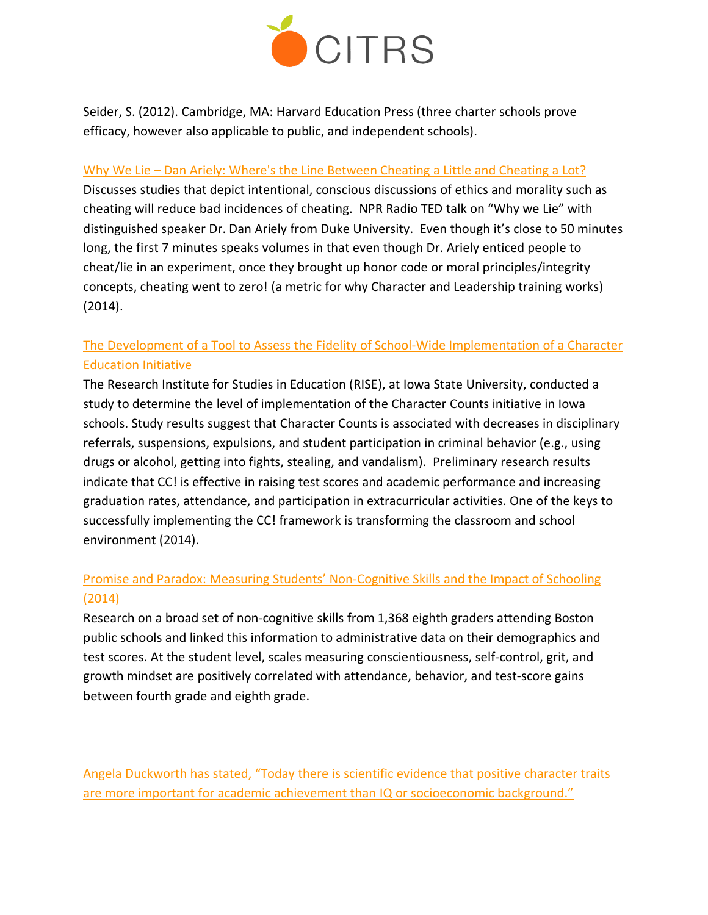

Seider, S. (2012). Cambridge, MA: Harvard Education Press (three charter schools prove efficacy, however also applicable to public, and independent schools).

#### Why We Lie – Dan Ariely: Where's the Line [Between](http://www.npr.org/programs/ted-radio-hour/311863205/why-we-lie) Cheating a Little and Cheating a Lot?

Discusses studies that depict intentional, conscious discussions of ethics and morality such as cheating will reduce bad incidences of cheating. NPR Radio TED talk on "Why we Lie" with distinguished speaker Dr. Dan Ariely from Duke University. Even though it's close to 50 minutes long, the first 7 minutes speaks volumes in that even though Dr. Ariely enticed people to cheat/lie in an experiment, once they brought up honor code or moral principles/integrity concepts, cheating went to zero! (a metric for why Character and Leadership training works) (2014).

#### The Development of a Tool to Assess the Fidelity of School-Wide [Implementation](http://www.rise.hs.iastate.edu/) of a Character [Education](http://www.rise.hs.iastate.edu/) Initiative

The Research Institute for Studies in Education (RISE), at Iowa State University, conducted a study to determine the level of implementation of the Character Counts initiative in Iowa schools. Study results suggest that Character Counts is associated with decreases in disciplinary referrals, suspensions, expulsions, and student participation in criminal behavior (e.g., using drugs or alcohol, getting into fights, stealing, and vandalism). Preliminary research results indicate that CC! is effective in raising test scores and academic performance and increasing graduation rates, attendance, and participation in extracurricular activities. One of the keys to successfully implementing the CC! framework is transforming the classroom and school environment (2014).

#### Promise and Paradox: Measuring Students' [Non-Cognitive](http://cepr.harvard.edu/files/cepr/files/cepr-promise-paradox.pdf) Skills and the Impact of Schooling [\(2014\)](http://cepr.harvard.edu/files/cepr/files/cepr-promise-paradox.pdf)

Research on a broad set of non-cognitive skills from 1,368 eighth graders attending Boston public schools and linked this information to administrative data on their demographics and test scores. At the student level, scales measuring conscientiousness, self-control, grit, and growth mindset are positively correlated with attendance, behavior, and test-score gains between fourth grade and eighth grade.

Angela [Duckworth](http://angeladuckworth.com/research/) has stated, "Today there is scientific evidence that positive character traits are more important for academic achievement than IQ or [socioeconomic](http://angeladuckworth.com/research/) background."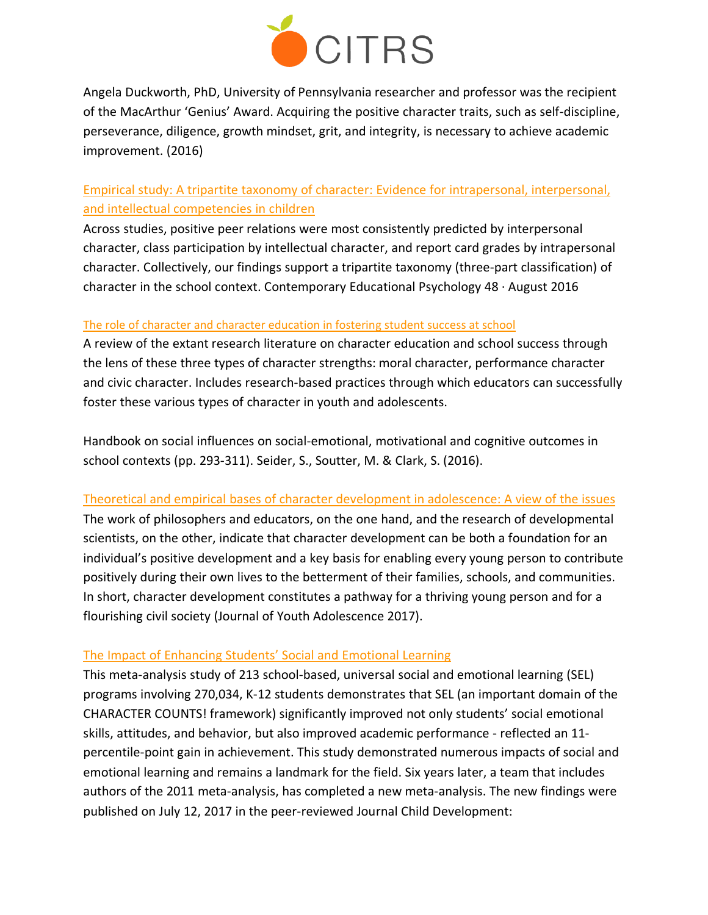

Angela Duckworth, PhD, University of Pennsylvania researcher and professor was the recipient of the MacArthur 'Genius' Award. Acquiring the positive character traits, such as self-discipline, perseverance, diligence, growth mindset, grit, and integrity, is necessary to achieve academic improvement. (2016)

#### Empirical study: A tripartite taxonomy of character: Evidence for intrapersonal, [interpersonal,](https://www.researchgate.net/publication/306095610_A_Tripartite_Taxonomy_of_Character_Evidence_for_Intrapersonal_Interpersonal_and_Intellectual_Competencies_in_Children) and intellectual [competencies](https://www.researchgate.net/publication/306095610_A_Tripartite_Taxonomy_of_Character_Evidence_for_Intrapersonal_Interpersonal_and_Intellectual_Competencies_in_Children) in children

Across studies, positive peer relations were most consistently predicted by interpersonal character, class participation by intellectual character, and report card grades by intrapersonal character. Collectively, our findings support a tripartite taxonomy (three-part classification) of character in the school context. Contemporary Educational Psychology  $48 \cdot$  August 2016

#### The role of character and character [education](http://people.bu.edu/seider/Handbook%20Chapter%20Penultimate%20Proofs_Seider%20et%20al.pdf) in fostering student success at school

A review of the extant research literature on character education and school success through the lens of these three types of character strengths: moral character, performance character and civic character. Includes research-based practices through which educators can successfully foster these various types of character in youth and adolescents.

Handbook on social influences on social-emotional, motivational and cognitive outcomes in school contexts (pp. 293-311). Seider, S., Soutter, M. & Clark, S. (2016).

#### Theoretical and empirical bases of character [development](http://people.bu.edu/seider/Seider%20et%20al_Theoretical%20and%20Empirical%20Bases%20of%20Character%20Development.pdf) in adolescence: A view of the issues

The work of philosophers and educators, on the one hand, and the research of developmental scientists, on the other, indicate that character development can be both a foundation for an individual's positive development and a key basis for enabling every young person to contribute positively during their own lives to the betterment of their families, schools, and communities. In short, character development constitutes a pathway for a thriving young person and for a flourishing civil society (Journal of Youth Adolescence 2017).

#### The Impact of [Enhancing](https://casel.org/wp-content/uploads/2016/06/meta-analysis-child-development-1.pdf) Students' Social and Emotional Learning

This meta-analysis study of 213 school-based, universal social and emotional learning (SEL) programs involving 270,034, K-12 students demonstrates that SEL (an important domain of the CHARACTER COUNTS! framework) significantly improved not only students' social emotional skills, attitudes, and behavior, but also improved academic performance - reflected an 11 percentile-point gain in achievement. This study demonstrated numerous impacts of social and emotional learning and remains a landmark for the field. Six years later, a team that includes authors of the 2011 meta-analysis, has completed a new meta-analysis. The new findings were published on July 12, 2017 in the peer-reviewed Journal Child Development: